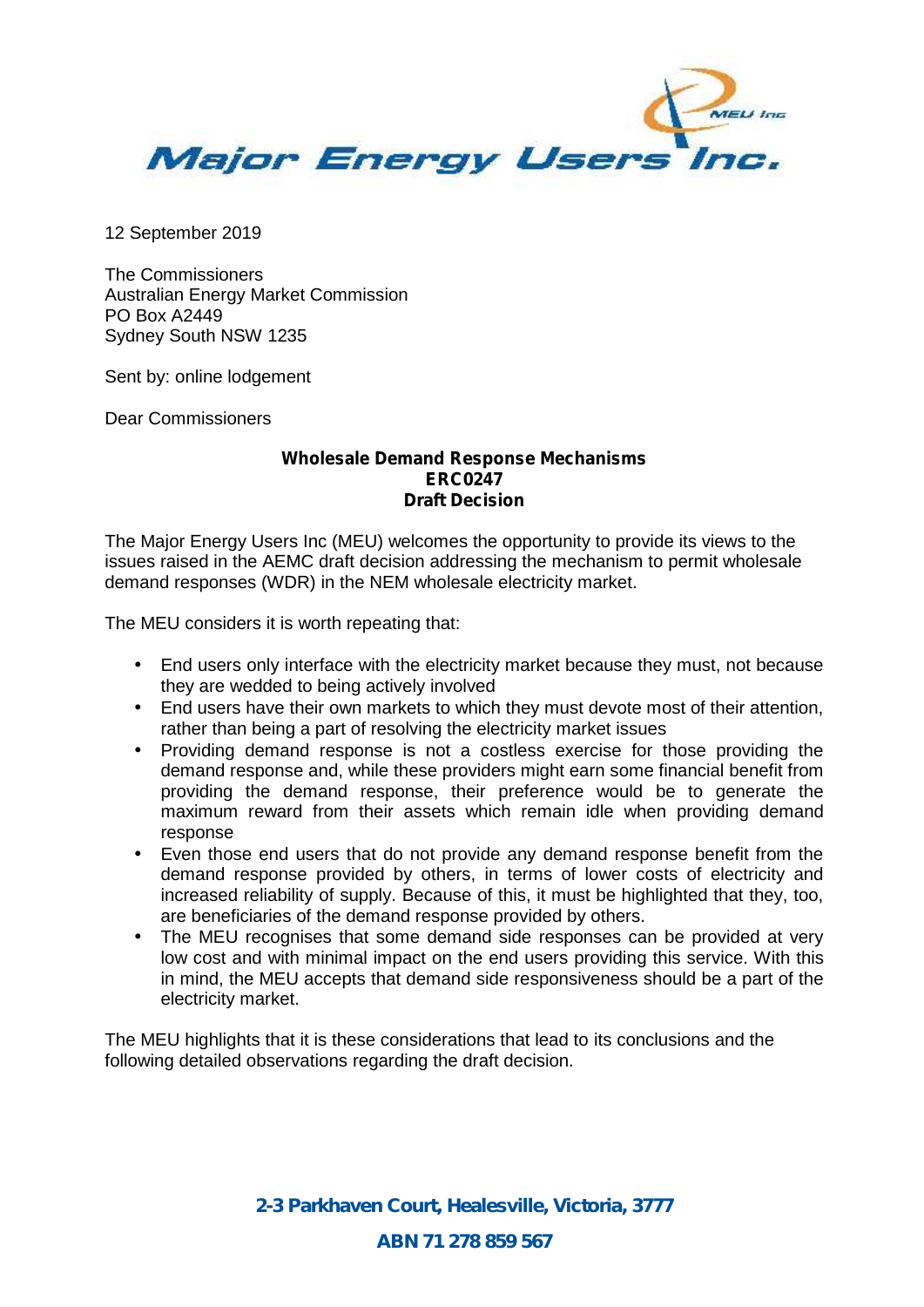

12 September 2019

The Commissioners Australian Energy Market Commission PO Box A2449 Sydney South NSW 1235

Sent by: online lodgement

Dear Commissioners

#### **Wholesale Demand Response Mechanisms ERC0247 Draft Decision**

The Major Energy Users Inc (MEU) welcomes the opportunity to provide its views to the issues raised in the AEMC draft decision addressing the mechanism to permit wholesale demand responses (WDR) in the NEM wholesale electricity market.

The MEU considers it is worth repeating that:

- End users only interface with the electricity market because they must, not because they are wedded to being actively involved
- End users have their own markets to which they must devote most of their attention, rather than being a part of resolving the electricity market issues
- Providing demand response is not a costless exercise for those providing the demand response and, while these providers might earn some financial benefit from providing the demand response, their preference would be to generate the maximum reward from their assets which remain idle when providing demand response
- Even those end users that do not provide any demand response benefit from the demand response provided by others, in terms of lower costs of electricity and increased reliability of supply. Because of this, it must be highlighted that they, too, are beneficiaries of the demand response provided by others.
- The MEU recognises that some demand side responses can be provided at very low cost and with minimal impact on the end users providing this service. With this in mind, the MEU accepts that demand side responsiveness should be a part of the electricity market.

The MEU highlights that it is these considerations that lead to its conclusions and the following detailed observations regarding the draft decision.

> *2-3 Parkhaven Court, Healesville, Victoria, 3777 ABN 71 278 859 567*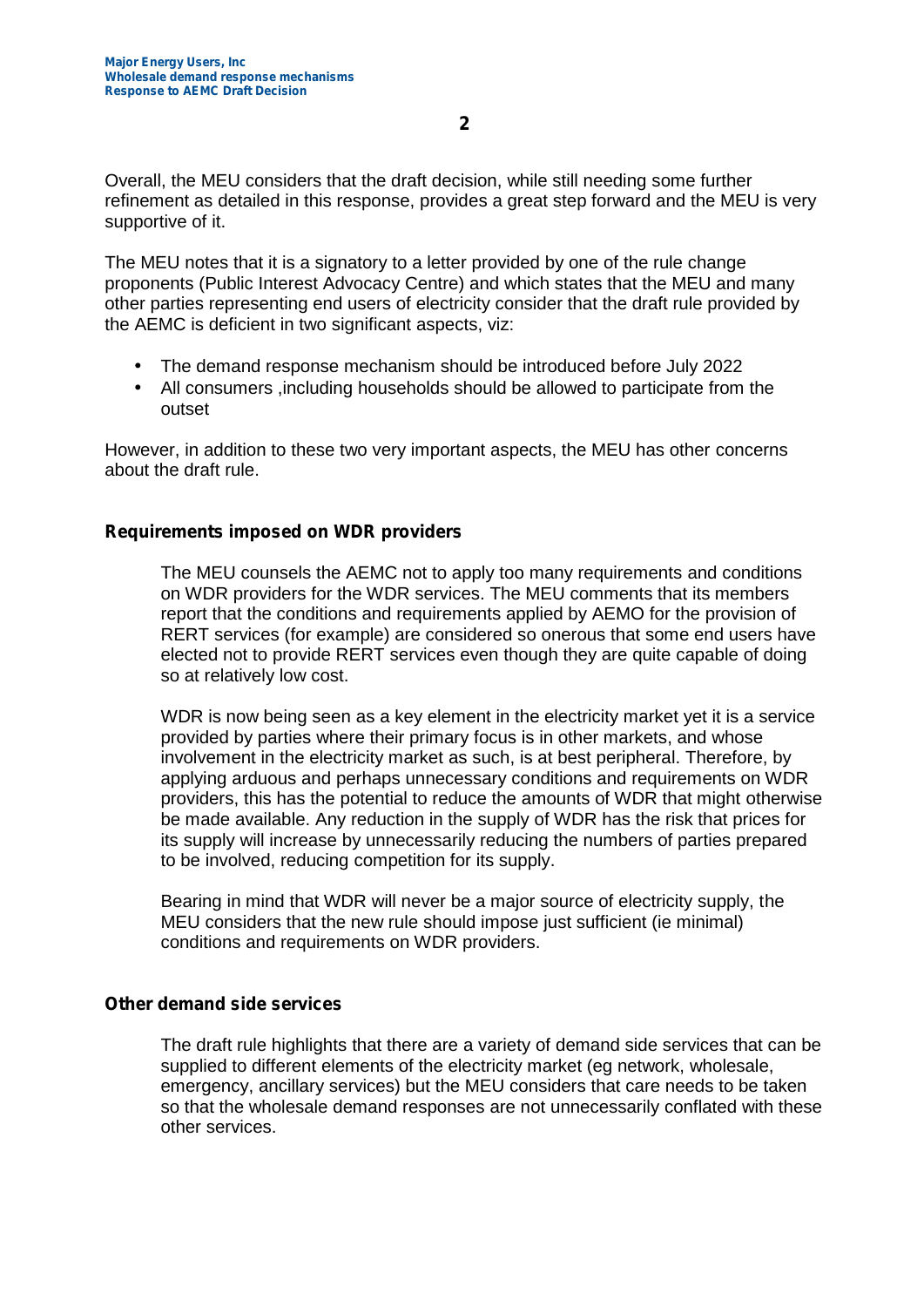Overall, the MEU considers that the draft decision, while still needing some further refinement as detailed in this response, provides a great step forward and the MEU is very supportive of it.

The MEU notes that it is a signatory to a letter provided by one of the rule change proponents (Public Interest Advocacy Centre) and which states that the MEU and many other parties representing end users of electricity consider that the draft rule provided by the AEMC is deficient in two significant aspects, viz:

- The demand response mechanism should be introduced before July 2022
- All consumers ,including households should be allowed to participate from the outset

However, in addition to these two very important aspects, the MEU has other concerns about the draft rule.

# **Requirements imposed on WDR providers**

The MEU counsels the AEMC not to apply too many requirements and conditions on WDR providers for the WDR services. The MEU comments that its members report that the conditions and requirements applied by AEMO for the provision of RERT services (for example) are considered so onerous that some end users have elected not to provide RERT services even though they are quite capable of doing so at relatively low cost.

WDR is now being seen as a key element in the electricity market yet it is a service provided by parties where their primary focus is in other markets, and whose involvement in the electricity market as such, is at best peripheral. Therefore, by applying arduous and perhaps unnecessary conditions and requirements on WDR providers, this has the potential to reduce the amounts of WDR that might otherwise be made available. Any reduction in the supply of WDR has the risk that prices for its supply will increase by unnecessarily reducing the numbers of parties prepared to be involved, reducing competition for its supply.

Bearing in mind that WDR will never be a major source of electricity supply, the MEU considers that the new rule should impose just sufficient (ie minimal) conditions and requirements on WDR providers.

## **Other demand side services**

The draft rule highlights that there are a variety of demand side services that can be supplied to different elements of the electricity market (eg network, wholesale, emergency, ancillary services) but the MEU considers that care needs to be taken so that the wholesale demand responses are not unnecessarily conflated with these other services.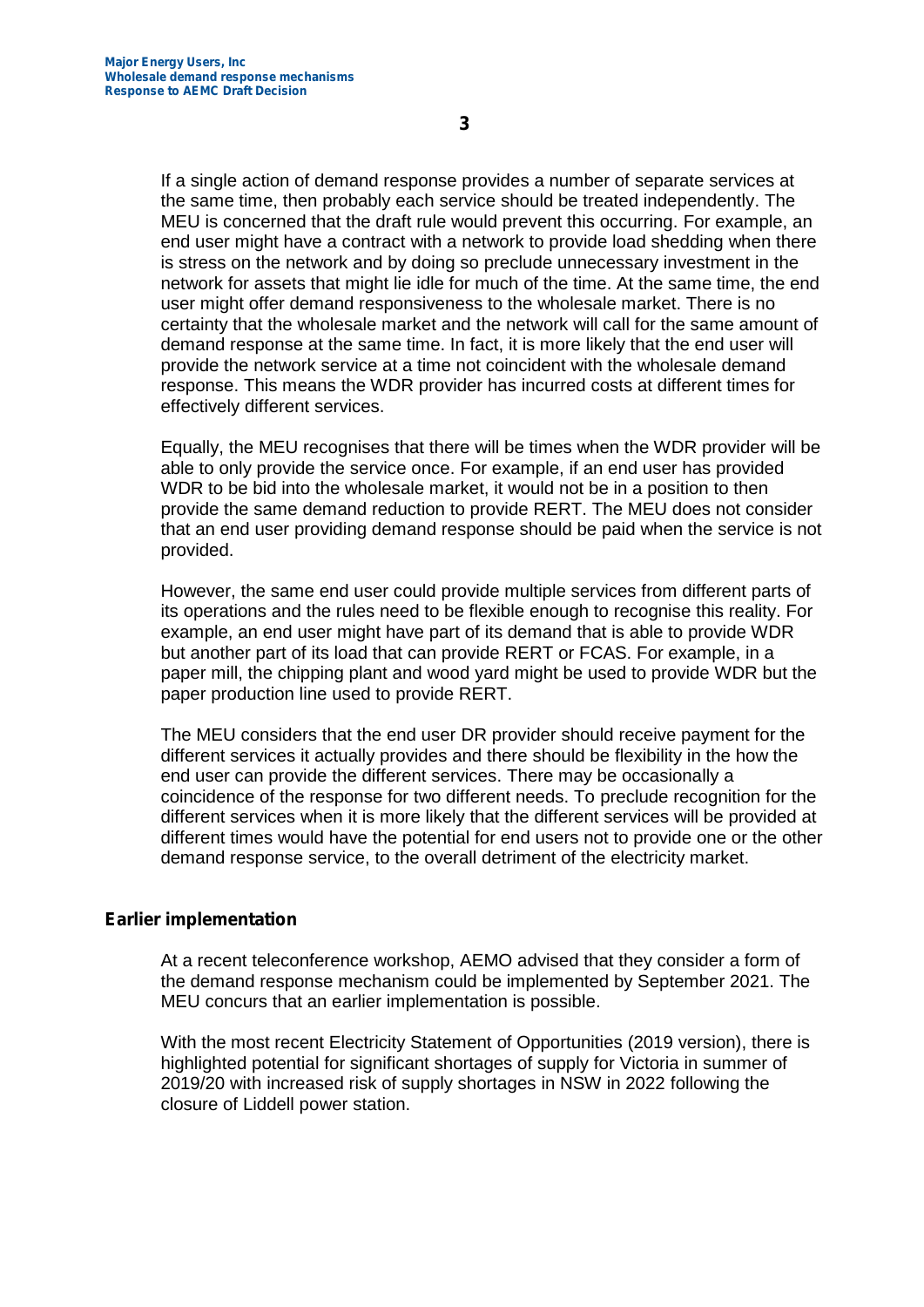If a single action of demand response provides a number of separate services at the same time, then probably each service should be treated independently. The

MEU is concerned that the draft rule would prevent this occurring. For example, an end user might have a contract with a network to provide load shedding when there is stress on the network and by doing so preclude unnecessary investment in the network for assets that might lie idle for much of the time. At the same time, the end user might offer demand responsiveness to the wholesale market. There is no certainty that the wholesale market and the network will call for the same amount of demand response at the same time. In fact, it is more likely that the end user will provide the network service at a time not coincident with the wholesale demand response. This means the WDR provider has incurred costs at different times for effectively different services.

Equally, the MEU recognises that there will be times when the WDR provider will be able to only provide the service once. For example, if an end user has provided WDR to be bid into the wholesale market, it would not be in a position to then provide the same demand reduction to provide RERT. The MEU does not consider that an end user providing demand response should be paid when the service is not provided.

However, the same end user could provide multiple services from different parts of its operations and the rules need to be flexible enough to recognise this reality. For example, an end user might have part of its demand that is able to provide WDR but another part of its load that can provide RERT or FCAS. For example, in a paper mill, the chipping plant and wood yard might be used to provide WDR but the paper production line used to provide RERT.

The MEU considers that the end user DR provider should receive payment for the different services it actually provides and there should be flexibility in the how the end user can provide the different services. There may be occasionally a coincidence of the response for two different needs. To preclude recognition for the different services when it is more likely that the different services will be provided at different times would have the potential for end users not to provide one or the other demand response service, to the overall detriment of the electricity market.

## **Earlier implementation**

At a recent teleconference workshop, AEMO advised that they consider a form of the demand response mechanism could be implemented by September 2021. The MEU concurs that an earlier implementation is possible.

With the most recent Electricity Statement of Opportunities (2019 version), there is highlighted potential for significant shortages of supply for Victoria in summer of 2019/20 with increased risk of supply shortages in NSW in 2022 following the closure of Liddell power station.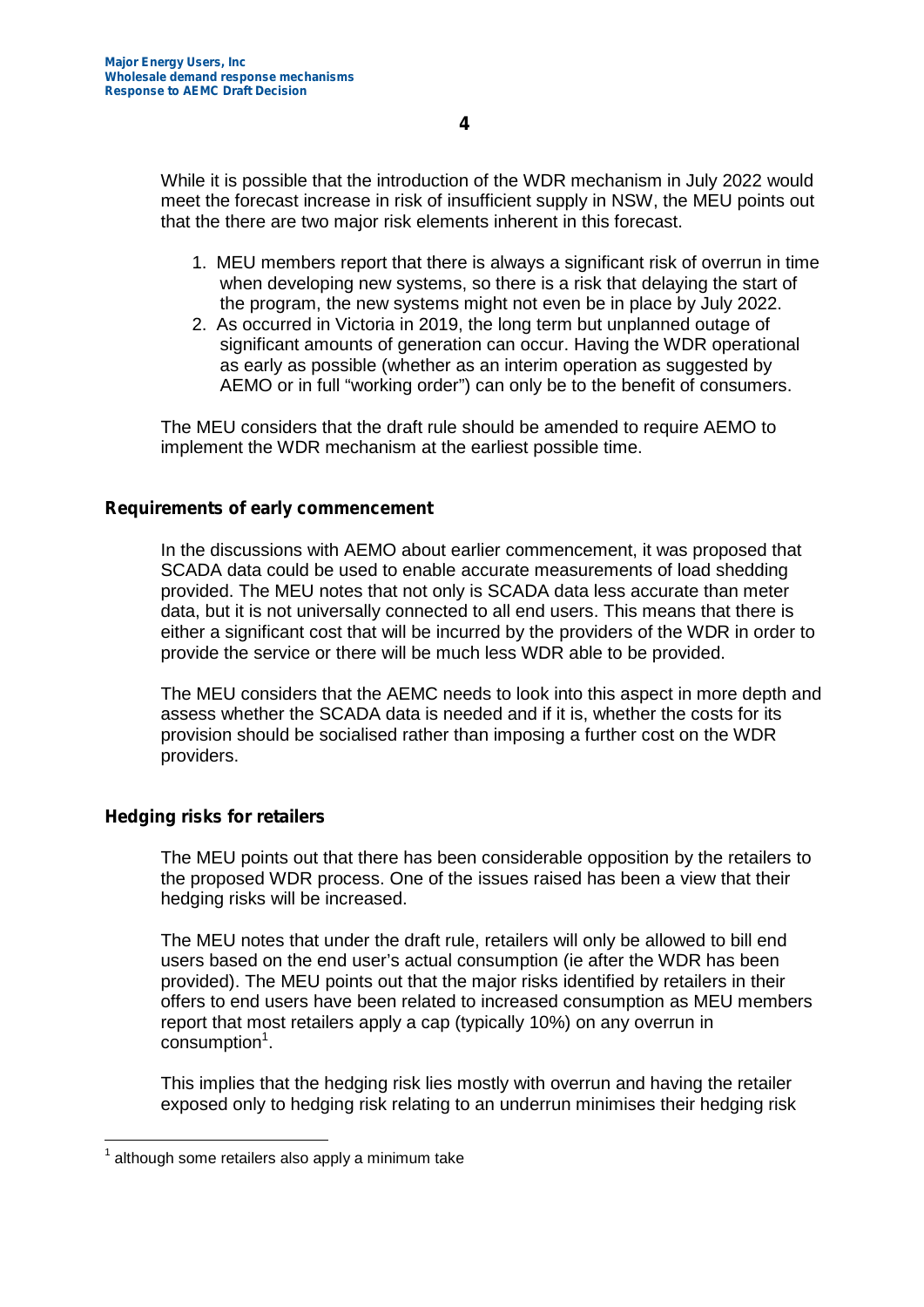While it is possible that the introduction of the WDR mechanism in July 2022 would meet the forecast increase in risk of insufficient supply in NSW, the MEU points out that the there are two major risk elements inherent in this forecast.

- 1. MEU members report that there is always a significant risk of overrun in time when developing new systems, so there is a risk that delaying the start of the program, the new systems might not even be in place by July 2022.
- 2. As occurred in Victoria in 2019, the long term but unplanned outage of significant amounts of generation can occur. Having the WDR operational as early as possible (whether as an interim operation as suggested by AEMO or in full "working order") can only be to the benefit of consumers.

The MEU considers that the draft rule should be amended to require AEMO to implement the WDR mechanism at the earliest possible time.

## **Requirements of early commencement**

In the discussions with AEMO about earlier commencement, it was proposed that SCADA data could be used to enable accurate measurements of load shedding provided. The MEU notes that not only is SCADA data less accurate than meter data, but it is not universally connected to all end users. This means that there is either a significant cost that will be incurred by the providers of the WDR in order to provide the service or there will be much less WDR able to be provided.

The MEU considers that the AEMC needs to look into this aspect in more depth and assess whether the SCADA data is needed and if it is, whether the costs for its provision should be socialised rather than imposing a further cost on the WDR providers.

## **Hedging risks for retailers**

The MEU points out that there has been considerable opposition by the retailers to the proposed WDR process. One of the issues raised has been a view that their hedging risks will be increased.

The MEU notes that under the draft rule, retailers will only be allowed to bill end users based on the end user's actual consumption (ie after the WDR has been provided). The MEU points out that the major risks identified by retailers in their offers to end users have been related to increased consumption as MEU members report that most retailers apply a cap (typically 10%) on any overrun in consumption<sup>1</sup>.

This implies that the hedging risk lies mostly with overrun and having the retailer exposed only to hedging risk relating to an underrun minimises their hedging risk

 $1$  although some retailers also apply a minimum take